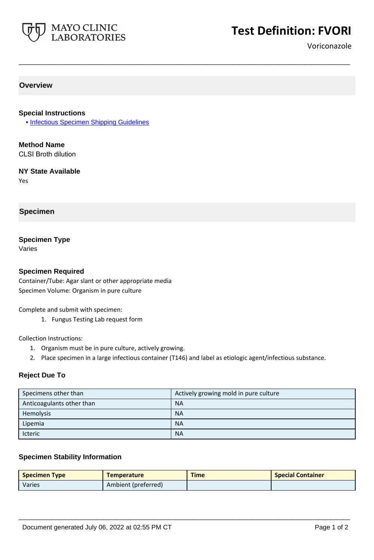

# **Test Definition: FVORI**

Voriconazole

# **Overview**

### **Special Instructions**

• [Infectious Specimen Shipping Guidelines](http://www.mayocliniclabs.com/it-mmfiles/Infectious_Specimen_Shipping_Guidelines.pdf)

**Method Name** CLSI Broth dilution

**NY State Available**

Yes

### **Specimen**

### **Specimen Type**

Varies

### **Specimen Required**

Container/Tube: Agar slant or other appropriate media Specimen Volume: Organism in pure culture

Complete and submit with specimen:

1. Fungus Testing Lab request form

Collection Instructions:

- 1. Organism must be in pure culture, actively growing.
- 2. Place specimen in a large infectious container (T146) and label as etiologic agent/infectious substance.

**\_\_\_\_\_\_\_\_\_\_\_\_\_\_\_\_\_\_\_\_\_\_\_\_\_\_\_\_\_\_\_\_\_\_\_\_\_\_\_\_\_\_\_\_\_\_\_\_\_\_\_**

### **Reject Due To**

| Specimens other than      | Actively growing mold in pure culture |
|---------------------------|---------------------------------------|
| Anticoagulants other than | <b>NA</b>                             |
| Hemolysis                 | <b>NA</b>                             |
| Lipemia                   | <b>NA</b>                             |
| Icteric                   | <b>NA</b>                             |

### **Specimen Stability Information**

| <b>Specimen Type</b> | <b>Temperature</b>  | <b>Time</b> | <b>Special Container</b> |
|----------------------|---------------------|-------------|--------------------------|
| <b>Varies</b>        | Ambient (preferred) |             |                          |

**\_\_\_\_\_\_\_\_\_\_\_\_\_\_\_\_\_\_\_\_\_\_\_\_\_\_\_\_\_\_\_\_\_\_\_\_\_\_\_\_\_\_\_\_\_\_\_\_\_\_\_**